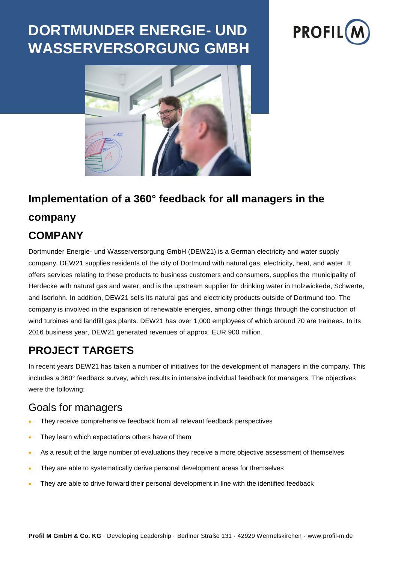# **DORTMUNDER ENERGIE- UND WASSERVERSORGUNG GMBH**





## **Implementation of a 360° feedback for all managers in the company**

## **COMPANY**

Dortmunder Energie- und Wasserversorgung GmbH (DEW21) is a German electricity and water supply company. DEW21 supplies residents of the city of Dortmund with natural gas, electricity, heat, and water. It offers services relating to these products to business customers and consumers, supplies the municipality of Herdecke with natural gas and water, and is the upstream supplier for drinking water in Holzwickede, Schwerte, and Iserlohn. In addition, DEW21 sells its natural gas and electricity products outside of Dortmund too. The company is involved in the expansion of renewable energies, among other things through the construction of wind turbines and landfill gas plants. DEW21 has over 1,000 employees of which around 70 are trainees. In its 2016 business year, DEW21 generated revenues of approx. EUR 900 million.

## **PROJECT TARGETS**

In recent years DEW21 has taken a number of initiatives for the development of managers in the company. This includes a 360° feedback survey, which results in intensive individual feedback for managers. The objectives were the following:

#### Goals for managers

- They receive comprehensive feedback from all relevant feedback perspectives
- They learn which expectations others have of them
- As a result of the large number of evaluations they receive a more objective assessment of themselves
- They are able to systematically derive personal development areas for themselves
- They are able to drive forward their personal development in line with the identified feedback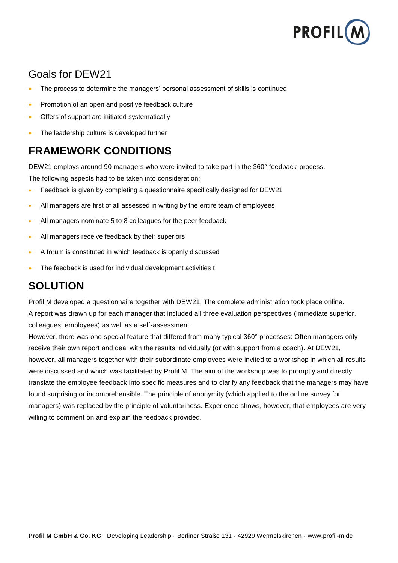

## Goals for DEW21

- The process to determine the managers' personal assessment of skills is continued
- Promotion of an open and positive feedback culture
- Offers of support are initiated systematically
- The leadership culture is developed further

## **FRAMEWORK CONDITIONS**

DEW21 employs around 90 managers who were invited to take part in the 360° feedback process. The following aspects had to be taken into consideration:

- Feedback is given by completing a questionnaire specifically designed for DEW21
- All managers are first of all assessed in writing by the entire team of employees
- All managers nominate 5 to 8 colleagues for the peer feedback
- All managers receive feedback by their superiors
- A forum is constituted in which feedback is openly discussed
- The feedback is used for individual development activities t

## **SOLUTION**

Profil M developed a questionnaire together with DEW21. The complete administration took place online. A report was drawn up for each manager that included all three evaluation perspectives (immediate superior, colleagues, employees) as well as a self-assessment.

However, there was one special feature that differed from many typical 360° processes: Often managers only receive their own report and deal with the results individually (or with support from a coach). At DEW21, however, all managers together with their subordinate employees were invited to a workshop in which all results were discussed and which was facilitated by Profil M. The aim of the workshop was to promptly and directly translate the employee feedback into specific measures and to clarify any feedback that the managers may have found surprising or incomprehensible. The principle of anonymity (which applied to the online survey for managers) was replaced by the principle of voluntariness. Experience shows, however, that employees are very willing to comment on and explain the feedback provided.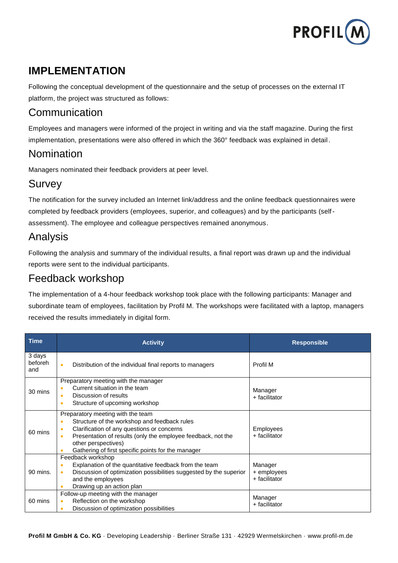

## **IMPLEMENTATION**

Following the conceptual development of the questionnaire and the setup of processes on the external IT platform, the project was structured as follows:

## Communication

Employees and managers were informed of the project in writing and via the staff magazine. During the first implementation, presentations were also offered in which the 360° feedback was explained in detail.

#### Nomination

Managers nominated their feedback providers at peer level.

#### Survey

The notification for the survey included an Internet link/address and the online feedback questionnaires were completed by feedback providers (employees, superior, and colleagues) and by the participants (selfassessment). The employee and colleague perspectives remained anonymous.

#### Analysis

Following the analysis and summary of the individual results, a final report was drawn up and the individual reports were sent to the individual participants.

#### Feedback workshop

The implementation of a 4-hour feedback workshop took place with the following participants: Manager and subordinate team of employees, facilitation by Profil M. The workshops were facilitated with a laptop, managers received the results immediately in digital form.

| <b>Time</b>              | <b>Activity</b>                                                                                                                                                                                                                                                                                                                  | <b>Responsible</b>                      |
|--------------------------|----------------------------------------------------------------------------------------------------------------------------------------------------------------------------------------------------------------------------------------------------------------------------------------------------------------------------------|-----------------------------------------|
| 3 days<br>beforeh<br>and | Distribution of the individual final reports to managers<br>$\bullet$                                                                                                                                                                                                                                                            | Profil M                                |
| 30 mins                  | Preparatory meeting with the manager<br>Current situation in the team<br>$\bullet$<br>Discussion of results<br>$\bullet$<br>Structure of upcoming workshop<br>۰                                                                                                                                                                  | Manager<br>+ facilitator                |
| 60 mins                  | Preparatory meeting with the team<br>Structure of the workshop and feedback rules<br>$\bullet$<br>Clarification of any questions or concerns<br>$\bullet$<br>Presentation of results (only the employee feedback, not the<br>$\bullet$<br>other perspectives)<br>Gathering of first specific points for the manager<br>$\bullet$ | Employees<br>+ facilitator              |
| 90 mins.                 | Feedback workshop<br>Explanation of the quantitative feedback from the team<br>$\bullet$<br>Discussion of optimization possibilities suggested by the superior<br>$\bullet$<br>and the employees<br>Drawing up an action plan<br>۰                                                                                               | Manager<br>+ employees<br>+ facilitator |
| 60 mins                  | Follow-up meeting with the manager<br>Reflection on the workshop<br>$\bullet$<br>Discussion of optimization possibilities<br>٠                                                                                                                                                                                                   | Manager<br>+ facilitator                |